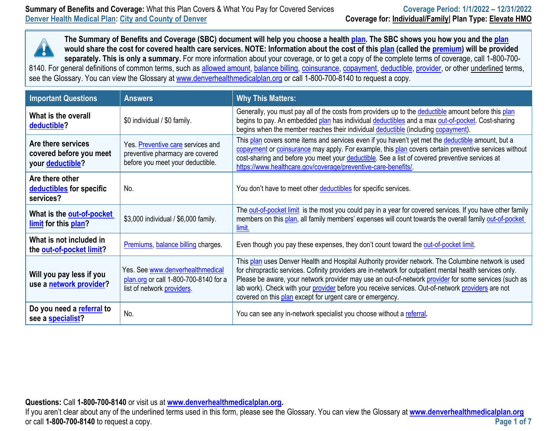

| <b>Important Questions</b>                                        | <b>Answers</b>                                                                                           | <b>Why This Matters:</b>                                                                                                                                                                                                                                                                                                                                                                                                                                                                  |
|-------------------------------------------------------------------|----------------------------------------------------------------------------------------------------------|-------------------------------------------------------------------------------------------------------------------------------------------------------------------------------------------------------------------------------------------------------------------------------------------------------------------------------------------------------------------------------------------------------------------------------------------------------------------------------------------|
| What is the overall<br>deductible?                                | \$0 individual / \$0 family.                                                                             | Generally, you must pay all of the costs from providers up to the deductible amount before this plan<br>begins to pay. An embedded plan has individual deductibles and a max out-of-pocket. Cost-sharing<br>begins when the member reaches their individual deductible (including copayment).                                                                                                                                                                                             |
| Are there services<br>covered before you meet<br>your deductible? | Yes. Preventive care services and<br>preventive pharmacy are covered<br>before you meet your deductible. | This plan covers some items and services even if you haven't yet met the deductible amount, but a<br>copayment or coinsurance may apply. For example, this plan covers certain preventive services without<br>cost-sharing and before you meet your deductible. See a list of covered preventive services at<br>https://www.healthcare.gov/coverage/preventive-care-benefits/.                                                                                                            |
| Are there other<br>deductibles for specific<br>services?          | No.                                                                                                      | You don't have to meet other deductibles for specific services.                                                                                                                                                                                                                                                                                                                                                                                                                           |
| What is the out-of-pocket<br>limit for this plan?                 | \$3,000 individual / \$6,000 family.                                                                     | The out-of-pocket limit is the most you could pay in a year for covered services. If you have other family<br>members on this plan, all family members' expenses will count towards the overall family out-of-pocket<br>limit.                                                                                                                                                                                                                                                            |
| What is not included in<br>the out-of-pocket limit?               | Premiums, balance billing charges.                                                                       | Even though you pay these expenses, they don't count toward the out-of-pocket limit.                                                                                                                                                                                                                                                                                                                                                                                                      |
| Will you pay less if you<br>use a network provider?               | Yes. See www.denverhealthmedical<br>plan.org or call 1-800-700-8140 for a<br>list of network providers.  | This plan uses Denver Health and Hospital Authority provider network. The Columbine network is used<br>for chiropractic services. Cofinity providers are in-network for outpatient mental health services only.<br>Please be aware, your network provider may use an out-of-network provider for some services (such as<br>lab work). Check with your provider before you receive services. Out-of-network providers are not<br>covered on this plan except for urgent care or emergency. |
| Do you need a referral to<br>see a specialist?                    | No.                                                                                                      | You can see any in-network specialist you choose without a referral.                                                                                                                                                                                                                                                                                                                                                                                                                      |

**Questions:** Call **1-800-700-8140** or visit us at **[www.denverhealthmedicalplan.org](http://www.denverhealthmedicalplan.org/).** 

If you aren't clear about any of the underlined terms used in this form, please see the Glossary. You can view the Glossary at **[www.denverhealthmedicalplan.org](http://www.denverhealthmedicalplan.org/)** or call **1-800-700-8140** to request a copy. **Page 1 of 7**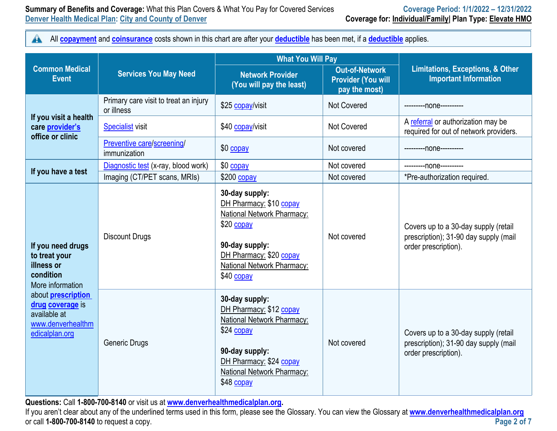#### **Summary of Benefits and Coverage:** What this Plan Covers & What You Pay for Covered Services **Coverage Period: 1/1/2022 - 12/31/2022 Denver Health Medical Plan: City and County of Denver Coverage for: Individual/Family| Plan Type: Elevate HMO**

 $\blacktriangle$ All **[copayment](https://www.healthcare.gov/sbc-glossary/#copayment)** and **[coinsurance](https://www.healthcare.gov/sbc-glossary/#coinsurance)** costs shown in this chart are after your **[deductible](https://www.healthcare.gov/sbc-glossary/#deductible)** has been met, if a **[deductible](https://www.healthcare.gov/sbc-glossary/#deductible)** applies.

|                                                                                                      |                                                     | <b>What You Will Pay</b>                                                                                                                                                       |                                                                     |                                                                                                       |
|------------------------------------------------------------------------------------------------------|-----------------------------------------------------|--------------------------------------------------------------------------------------------------------------------------------------------------------------------------------|---------------------------------------------------------------------|-------------------------------------------------------------------------------------------------------|
| <b>Common Medical</b><br><b>Event</b>                                                                | <b>Services You May Need</b>                        | <b>Network Provider</b><br>(You will pay the least)                                                                                                                            | <b>Out-of-Network</b><br><b>Provider (You will</b><br>pay the most) | <b>Limitations, Exceptions, &amp; Other</b><br><b>Important Information</b>                           |
|                                                                                                      | Primary care visit to treat an injury<br>or illness | \$25 copay/visit                                                                                                                                                               | <b>Not Covered</b>                                                  | ---------none----------                                                                               |
| If you visit a health<br>care provider's<br>office or clinic                                         | <b>Specialist visit</b>                             | \$40 copay/visit                                                                                                                                                               | Not Covered                                                         | A referral or authorization may be<br>required for out of network providers.                          |
|                                                                                                      | Preventive care/screening/<br>immunization          | \$0 copay                                                                                                                                                                      | Not covered                                                         | ---------none----------                                                                               |
|                                                                                                      | Diagnostic test (x-ray, blood work)                 | \$0 copay                                                                                                                                                                      | Not covered                                                         | ----------none----------                                                                              |
| If you have a test                                                                                   | Imaging (CT/PET scans, MRIs)                        | $$200$ copay                                                                                                                                                                   | Not covered                                                         | *Pre-authorization required.                                                                          |
| If you need drugs<br>to treat your<br>illness or<br>condition<br>More information                    | <b>Discount Drugs</b>                               | 30-day supply:<br>DH Pharmacy: \$10 copay<br>National Network Pharmacy:<br>\$20 copay<br>90-day supply:<br>DH Pharmacy: \$20 copay<br>National Network Pharmacy:<br>\$40 copay | Not covered                                                         | Covers up to a 30-day supply (retail<br>prescription); 31-90 day supply (mail<br>order prescription). |
| about <b>prescription</b><br>drug coverage is<br>available at<br>www.denverhealthm<br>edicalplan.org | <b>Generic Drugs</b>                                | 30-day supply:<br>DH Pharmacy: \$12 copay<br>National Network Pharmacy:<br>\$24 copay<br>90-day supply:<br>DH Pharmacy: \$24 copay<br>National Network Pharmacy:<br>\$48 copay | Not covered                                                         | Covers up to a 30-day supply (retail<br>prescription); 31-90 day supply (mail<br>order prescription). |

**Questions:** Call **1-800-700-8140** or visit us at **[www.denverhealthmedicalplan.org](http://www.denverhealthmedicalplan.org/).** 

If you aren't clear about any of the underlined terms used in this form, please see the Glossary. You can view the Glossary at **[www.denverhealthmedicalplan.org](http://www.denverhealthmedicalplan.org/)** or call **1-800-700-8140** to request a copy. **Page 2 of 7**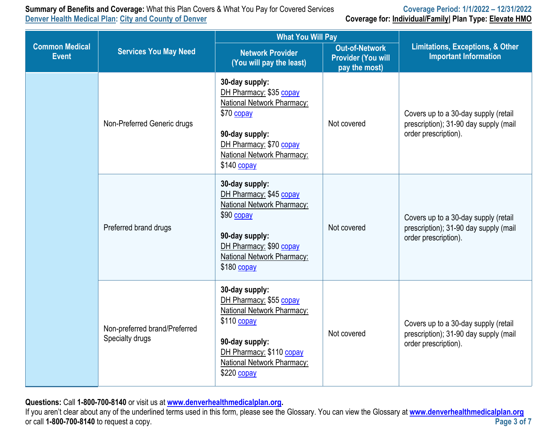**Summary of Benefits and Coverage:** What this Plan Covers & What You Pay for Covered Services **Coverage Period: 1/1/2022 – 12/31/2022**

**Coverage for: Individual/Family| Plan Type: Elevate HMO** 

|                                                                       |                                                  | <b>What You Will Pay</b>                                                                                                                                                            | <b>Limitations, Exceptions, &amp; Other</b><br><b>Important Information</b> |                                                                                                       |
|-----------------------------------------------------------------------|--------------------------------------------------|-------------------------------------------------------------------------------------------------------------------------------------------------------------------------------------|-----------------------------------------------------------------------------|-------------------------------------------------------------------------------------------------------|
| <b>Common Medical</b><br><b>Services You May Need</b><br><b>Event</b> |                                                  | <b>Network Provider</b><br>(You will pay the least)                                                                                                                                 |                                                                             |                                                                                                       |
|                                                                       | Non-Preferred Generic drugs                      | 30-day supply:<br>DH Pharmacy: \$35 copay<br>National Network Pharmacy:<br>\$70 copay<br>90-day supply:<br>DH Pharmacy: \$70 copay<br>National Network Pharmacy:<br>$$140$ copay    | Not covered                                                                 | Covers up to a 30-day supply (retail<br>prescription); 31-90 day supply (mail<br>order prescription). |
|                                                                       | Preferred brand drugs                            | 30-day supply:<br>DH Pharmacy: \$45 copay<br>National Network Pharmacy:<br>\$90 copay<br>90-day supply:<br>DH Pharmacy: \$90 copay<br>National Network Pharmacy:<br>$$180$ copay    | Not covered                                                                 | Covers up to a 30-day supply (retail<br>prescription); 31-90 day supply (mail<br>order prescription). |
|                                                                       | Non-preferred brand/Preferred<br>Specialty drugs | 30-day supply:<br>DH Pharmacy: \$55 copay<br>National Network Pharmacy:<br>$$110$ copay<br>90-day supply:<br>DH Pharmacy: \$110 copay<br>National Network Pharmacy:<br>$$220$ copay | Not covered                                                                 | Covers up to a 30-day supply (retail<br>prescription); 31-90 day supply (mail<br>order prescription). |

**Questions:** Call **1-800-700-8140** or visit us at **[www.denverhealthmedicalplan.org](http://www.denverhealthmedicalplan.org/).** 

If you aren't clear about any of the underlined terms used in this form, please see the Glossary. You can view the Glossary at **[www.denverhealthmedicalplan.org](http://www.denverhealthmedicalplan.org/)** or call **1-800-700-8140** to request a copy.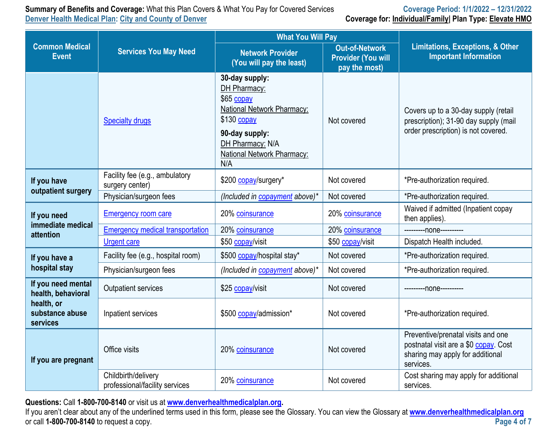**Summary of Benefits and Coverage:** What this Plan Covers & What You Pay for Covered Services **Coverage Period: 1/1/2022 - 12/31/2022** 

| <b>Cammany of Bonome and Octobagor Hillar and Fight Covers &amp; Thilar Four ay for Soverold Corvillor</b><br>Denver Health Medical Plan: City and County of Denver |                          | <b>VOTORYOT ORIGINI III.EVEE TEIVIRESE</b><br>Coverage for: Individual/Family Plan Type: Elevate HMO |
|---------------------------------------------------------------------------------------------------------------------------------------------------------------------|--------------------------|------------------------------------------------------------------------------------------------------|
|                                                                                                                                                                     | <b>What You Will Pay</b> |                                                                                                      |

|                                           |                                                       | <b>INTIAL TUA INIII LAY</b>                                                                                                                                           |                                                                     |                                                                                                                              |
|-------------------------------------------|-------------------------------------------------------|-----------------------------------------------------------------------------------------------------------------------------------------------------------------------|---------------------------------------------------------------------|------------------------------------------------------------------------------------------------------------------------------|
| <b>Common Medical</b><br><b>Event</b>     | <b>Services You May Need</b>                          | <b>Network Provider</b><br>(You will pay the least)                                                                                                                   | <b>Out-of-Network</b><br><b>Provider (You will</b><br>pay the most) | <b>Limitations, Exceptions, &amp; Other</b><br><b>Important Information</b>                                                  |
|                                           | <b>Specialty drugs</b>                                | 30-day supply:<br>DH Pharmacy:<br>\$65 copay<br>National Network Pharmacy:<br>$$130$ copay<br>90-day supply:<br>DH Pharmacy: N/A<br>National Network Pharmacy:<br>N/A | Not covered                                                         | Covers up to a 30-day supply (retail<br>prescription); 31-90 day supply (mail<br>order prescription) is not covered.         |
| If you have<br>outpatient surgery         | Facility fee (e.g., ambulatory<br>surgery center)     | \$200 copay/surgery*                                                                                                                                                  | Not covered                                                         | *Pre-authorization required.                                                                                                 |
|                                           | Physician/surgeon fees                                | (Included in copayment above)*                                                                                                                                        | Not covered                                                         | *Pre-authorization required.                                                                                                 |
| If you need<br>immediate medical          | <b>Emergency room care</b>                            | 20% coinsurance                                                                                                                                                       | 20% coinsurance                                                     | Waived if admitted (Inpatient copay<br>then applies).                                                                        |
| attention                                 | <b>Emergency medical transportation</b>               | 20% coinsurance                                                                                                                                                       | 20% coinsurance                                                     | ---------none----------                                                                                                      |
|                                           | <b>Urgent care</b>                                    | \$50 copay/visit                                                                                                                                                      | \$50 copay/visit                                                    | Dispatch Health included.                                                                                                    |
| If you have a                             | Facility fee (e.g., hospital room)                    | \$500 copay/hospital stay*                                                                                                                                            | Not covered                                                         | *Pre-authorization required.                                                                                                 |
| hospital stay                             | Physician/surgeon fees                                | (Included in copayment above)*                                                                                                                                        | Not covered                                                         | *Pre-authorization required.                                                                                                 |
| If you need mental<br>health, behavioral  | <b>Outpatient services</b>                            | \$25 copay/visit                                                                                                                                                      | Not covered                                                         | ---------none----------                                                                                                      |
| health, or<br>substance abuse<br>services | Inpatient services                                    | \$500 copay/admission*                                                                                                                                                | Not covered                                                         | *Pre-authorization required.                                                                                                 |
| If you are pregnant                       | Office visits                                         | 20% coinsurance                                                                                                                                                       | Not covered                                                         | Preventive/prenatal visits and one<br>postnatal visit are a \$0 copay. Cost<br>sharing may apply for additional<br>services. |
|                                           | Childbirth/delivery<br>professional/facility services | 20% coinsurance                                                                                                                                                       | Not covered                                                         | Cost sharing may apply for additional<br>services.                                                                           |

**Questions:** Call **1-800-700-8140** or visit us at **[www.denverhealthmedicalplan.org](http://www.denverhealthmedicalplan.org/).** 

If you aren't clear about any of the underlined terms used in this form, please see the Glossary. You can view the Glossary at **[www.denverhealthmedicalplan.org](http://www.denverhealthmedicalplan.org/)** or call **1-800-700-8140** to request a copy.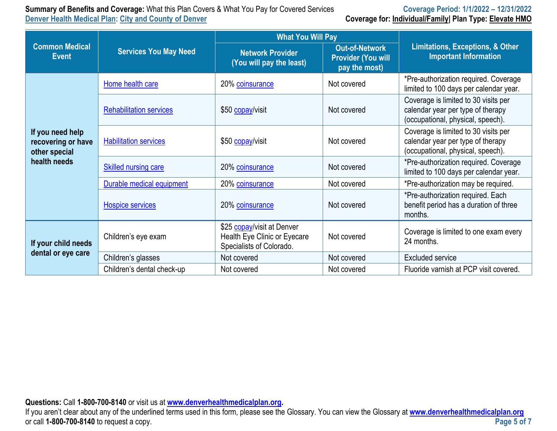# **Summary of Benefits and Coverage:** What this Plan Covers & What You Pay for Covered Services **Coverage Period: 1/1/2022 – 12/31/2022**

## **Coverage for: Individual/Family| Plan Type: Elevate HMO**

|                                                         |                                | <b>What You Will Pay</b>                                                               |                                                                     |                                                                                                                |
|---------------------------------------------------------|--------------------------------|----------------------------------------------------------------------------------------|---------------------------------------------------------------------|----------------------------------------------------------------------------------------------------------------|
| <b>Common Medical</b><br><b>Event</b>                   | <b>Services You May Need</b>   | <b>Network Provider</b><br>(You will pay the least)                                    | <b>Out-of-Network</b><br><b>Provider (You will</b><br>pay the most) | <b>Limitations, Exceptions, &amp; Other</b><br><b>Important Information</b>                                    |
|                                                         | Home health care               | 20% coinsurance                                                                        | Not covered                                                         | *Pre-authorization required. Coverage<br>limited to 100 days per calendar year.                                |
|                                                         | <b>Rehabilitation services</b> | \$50 copay/visit                                                                       | Not covered                                                         | Coverage is limited to 30 visits per<br>calendar year per type of therapy<br>(occupational, physical, speech). |
| If you need help<br>recovering or have<br>other special | <b>Habilitation services</b>   | \$50 copay/visit                                                                       | Not covered                                                         | Coverage is limited to 30 visits per<br>calendar year per type of therapy<br>(occupational, physical, speech). |
| health needs                                            | <b>Skilled nursing care</b>    | 20% coinsurance                                                                        | Not covered                                                         | *Pre-authorization required. Coverage<br>limited to 100 days per calendar year.                                |
|                                                         | Durable medical equipment      | 20% coinsurance                                                                        | Not covered                                                         | *Pre-authorization may be required.                                                                            |
|                                                         | Hospice services               | 20% coinsurance                                                                        | Not covered                                                         | *Pre-authorization required. Each<br>benefit period has a duration of three<br>months.                         |
| If your child needs                                     | Children's eye exam            | \$25 copay/visit at Denver<br>Health Eye Clinic or Eyecare<br>Specialists of Colorado. | Not covered                                                         | Coverage is limited to one exam every<br>24 months.                                                            |
| dental or eye care                                      | Children's glasses             | Not covered                                                                            | Not covered                                                         | <b>Excluded service</b>                                                                                        |
|                                                         | Children's dental check-up     | Not covered                                                                            | Not covered                                                         | Fluoride varnish at PCP visit covered.                                                                         |

**Questions:** Call **1-800-700-8140** or visit us at **[www.denverhealthmedicalplan.org](http://www.denverhealthmedicalplan.org/).** 

If you aren't clear about any of the underlined terms used in this form, please see the Glossary. You can view the Glossary at **[www.denverhealthmedicalplan.org](http://www.denverhealthmedicalplan.org/)** or call **1-800-700-8140** to request a copy.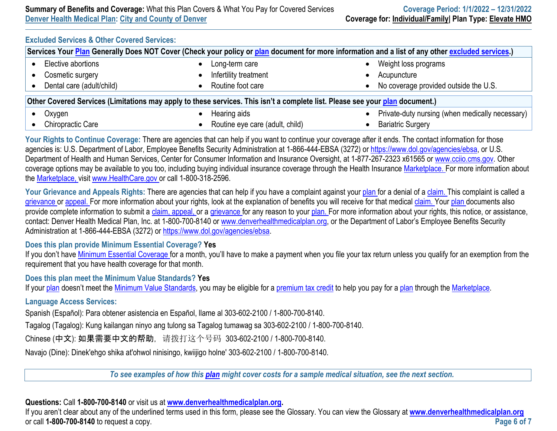#### **Excluded Services & Other Covered Services:**

| Services Your Plan Generally Does NOT Cover (Check your policy or plan document for more information and a list of any other excluded services.) |  |                                 |  |                                                 |  |
|--------------------------------------------------------------------------------------------------------------------------------------------------|--|---------------------------------|--|-------------------------------------------------|--|
| Elective abortions                                                                                                                               |  | Long-term care                  |  | Weight loss programs                            |  |
| Cosmetic surgery                                                                                                                                 |  | Infertility treatment           |  | Acupuncture                                     |  |
| Dental care (adult/child)                                                                                                                        |  | Routine foot care               |  | No coverage provided outside the U.S.           |  |
| Other Covered Services (Limitations may apply to these services. This isn't a complete list. Please see your plan document.)                     |  |                                 |  |                                                 |  |
| Oxygen                                                                                                                                           |  | Hearing aids                    |  | Private-duty nursing (when medically necessary) |  |
| <b>Chiropractic Care</b>                                                                                                                         |  | Routine eye care (adult, child) |  | <b>Bariatric Surgery</b>                        |  |

Your Rights to Continue Coverage: There are agencies that can help if you want to continue your coverage after it ends. The contact information for those agencies is: U.S. Department of Labor, Employee Benefits Security Administration at 1-866-444-EBSA (3272) or [https://www.dol.gov/agencies/ebsa,](https://www.dol.gov/agencies/ebsa) or U.S. Department of Health and Human Services, Center for Consumer Information and Insurance Oversight, at 1-877-267-2323 x61565 or [www.cciio.cms.gov.](http://www.cciio.cms.gov/) Other coverage options may be available to you too, including buying individual insurance coverage through the Health Insurance [Marketplace.](https://www.healthcare.gov/sbc-glossary/#marketplace) For more information about the [Marketplace,](https://www.healthcare.gov/sbc-glossary/#marketplace) visit [www.HealthCare.gov](http://www.healthcare.gov/) or call 1-800-318-2596.

Your Grievance and Appeals Rights: There are agencies that can help if you have a complaint against your [plan](https://www.healthcare.gov/sbc-glossary/#plan) for a denial of a [claim.](https://www.healthcare.gov/sbc-glossary/#claim) This complaint is called a [grievance](https://www.healthcare.gov/sbc-glossary/#grievance) or [appeal. F](https://www.healthcare.gov/sbc-glossary/#appeal)or more information about your rights, look at the explanation of benefits you will receive for that medical [claim.](https://www.healthcare.gov/sbc-glossary/#claim) Your [plan d](https://www.healthcare.gov/sbc-glossary/#plan)ocuments also provide complete information to submit a [claim,](https://www.healthcare.gov/sbc-glossary/#claim) [appeal,](https://www.healthcare.gov/sbc-glossary/#appeal) or a [grievance f](https://www.healthcare.gov/sbc-glossary/#grievance)or any reason to your [plan.](https://www.healthcare.gov/sbc-glossary/#plan) For more information about your rights, this notice, or assistance, contact: Denver Health Medical Plan, Inc. at 1-800-700-8140 or [www.denverhealthmedicalplan.org,](http://www.denverhealthmedicalplan.org/) or the Department of Labor's Employee Benefits Security Administration at 1-866-444-EBSA (3272) or <https://www.dol.gov/agencies/ebsa>.

#### **Does this plan provide Minimum Essential Coverage? Yes**

If you don't have [Minimum Essential Coverage f](https://www.healthcare.gov/sbc-glossary/#minimum-essential-coverage)or a month, you'll have to make a payment when you file your tax return unless you qualify for an exemption from the requirement that you have health coverage for that month.

#### **Does this plan meet the Minimum Value Standards? Yes**

If your [plan](https://www.healthcare.gov/sbc-glossary/#plan) doesn't meet the [Minimum Value Standards,](https://www.healthcare.gov/sbc-glossary/#minimum-value-standard) you may be eligible for a [premium tax credit t](https://www.healthcare.gov/sbc-glossary/#premium-tax-credits)o help you pay for a [plan](https://www.healthcare.gov/sbc-glossary/#plan) through the [Marketplace.](https://www.healthcare.gov/sbc-glossary/#marketplace)

#### **Language Access Services:**

Spanish (Español): Para obtener asistencia en Español, llame al 303-602-2100 / 1-800-700-8140.

Tagalog (Tagalog): Kung kailangan ninyo ang tulong sa Tagalog tumawag sa 303-602-2100 / 1-800-700-8140.

Chinese (中文): 如果需要中文的帮助, 请拨打这个号码 303-602-2100 / 1-800-700-8140.

Navajo (Dine): Dinek'ehgo shika at'ohwol ninisingo, kwiijigo holne' 303-602-2100 / 1-800-700-8140.

*To see examples of how this [plan](https://www.healthcare.gov/sbc-glossary/#plan) might cover costs for a sample medical situation, see the next section.*

#### **Questions:** Call **1-800-700-8140** or visit us at **[www.denverhealthmedicalplan.org](http://www.denverhealthmedicalplan.org/).**

If you aren't clear about any of the underlined terms used in this form, please see the Glossary. You can view the Glossary at **[www.denverhealthmedicalplan.org](http://www.denverhealthmedicalplan.org/)** or call **1-800-700-8140** to request a copy. **Page 6 of 7**